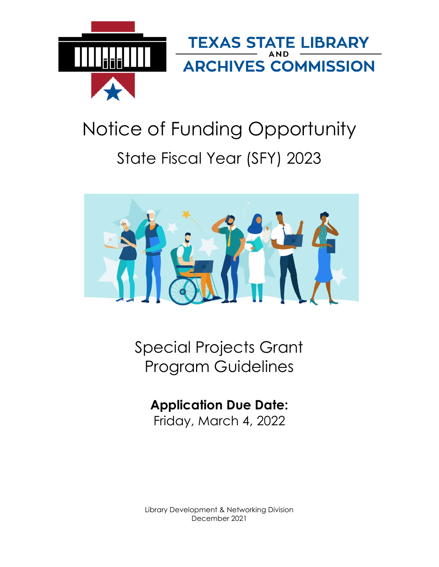

# Notice of Funding Opportunity State Fiscal Year (SFY) 2023



Special Projects Grant Program Guidelines

# **Application Due Date:**

Friday, March 4, 2022

Library Development & Networking Division December 2021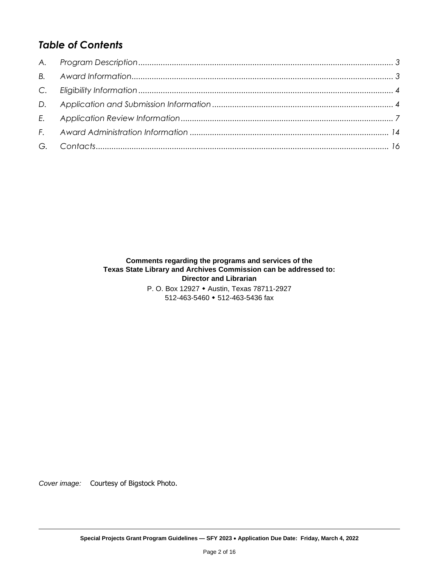# *Table of Contents*

#### **Comments regarding the programs and services of the Texas State Library and Archives Commission can be addressed to: Director and Librarian**

P. O. Box 12927 • Austin, Texas 78711-2927 512-463-5460 512-463-5436 fax

*Cover image:* Courtesy of Bigstock Photo.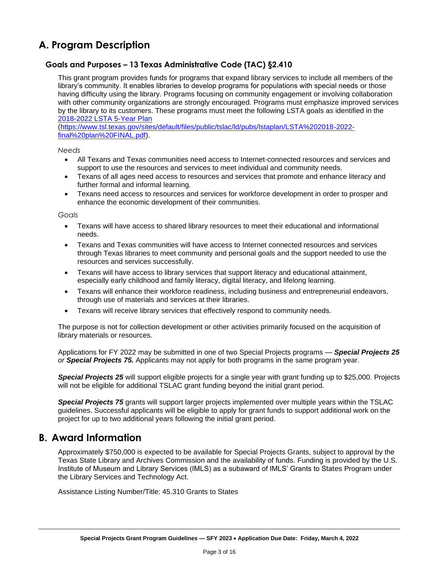# <span id="page-2-0"></span>**A. Program Description**

#### **Goals and Purposes – 13 Texas Administrative Code (TAC) §2.410**

This grant program provides funds for programs that expand library services to include all members of the library's community. It enables libraries to develop programs for populations with special needs or those having difficulty using the library. Programs focusing on community engagement or involving collaboration with other community organizations are strongly encouraged. Programs must emphasize improved services by the library to its customers. These programs must meet the following LSTA goals as identified in the [2018-2022 LSTA 5-Year](https://www.tsl.texas.gov/sites/default/files/public/tslac/ld/pubs/lstaplan/LSTA%202018-2022-final%20plan%20FINAL.pdf) Plan

[\(https://www.tsl.texas.gov/sites/default/files/public/tslac/ld/pubs/lstaplan/LSTA%202018-2022](https://www.tsl.texas.gov/sites/default/files/public/tslac/ld/pubs/lstaplan/LSTA%202018-2022-final%20plan%20FINAL.pdf) [final%20plan%20FINAL.pdf\)](https://www.tsl.texas.gov/sites/default/files/public/tslac/ld/pubs/lstaplan/LSTA%202018-2022-final%20plan%20FINAL.pdf).

*Needs*

- All Texans and Texas communities need access to Internet-connected resources and services and support to use the resources and services to meet individual and community needs.
- Texans of all ages need access to resources and services that promote and enhance literacy and further formal and informal learning.
- Texans need access to resources and services for workforce development in order to prosper and enhance the economic development of their communities.

*Goals*

- Texans will have access to shared library resources to meet their educational and informational needs.
- Texans and Texas communities will have access to Internet connected resources and services through Texas libraries to meet community and personal goals and the support needed to use the resources and services successfully.
- Texans will have access to library services that support literacy and educational attainment, especially early childhood and family literacy, digital literacy, and lifelong learning.
- Texans will enhance their workforce readiness, including business and entrepreneurial endeavors, through use of materials and services at their libraries.
- Texans will receive library services that effectively respond to community needs.

The purpose is not for collection development or other activities primarily focused on the acquisition of library materials or resources.

Applications for FY 2022 may be submitted in one of two Special Projects programs — *Special Projects 25 or Special Projects 75.* Applicants may not apply for both programs in the same program year.

*Special Projects 25* will support eligible projects for a single year with grant funding up to \$25,000. Projects will not be eligible for additional TSLAC grant funding beyond the initial grant period.

*Special Projects 75* grants will support larger projects implemented over multiple years within the TSLAC guidelines. Successful applicants will be eligible to apply for grant funds to support additional work on the project for up to two additional years following the initial grant period.

#### <span id="page-2-1"></span>**B. Award Information**

Approximately \$750,000 is expected to be available for Special Projects Grants, subject to approval by the Texas State Library and Archives Commission and the availability of funds. Funding is provided by the U.S. Institute of Museum and Library Services (IMLS) as a subaward of IMLS' Grants to States Program under the Library Services and Technology Act.

Assistance Listing Number/Title: 45.310 Grants to States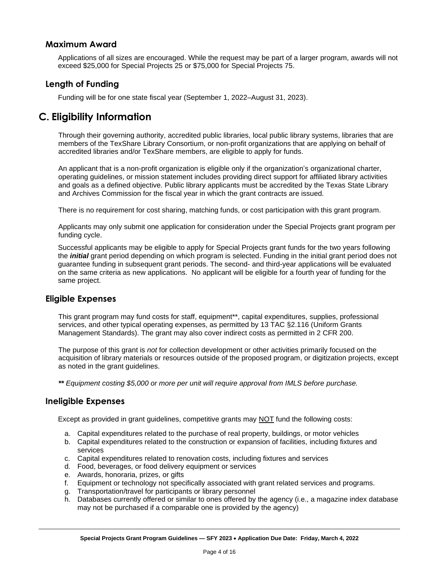#### **Maximum Award**

Applications of all sizes are encouraged. While the request may be part of a larger program, awards will not exceed \$25,000 for Special Projects 25 or \$75,000 for Special Projects 75.

#### **Length of Funding**

Funding will be for one state fiscal year (September 1, 2022–August 31, 2023).

# <span id="page-3-0"></span>**C. Eligibility Information**

Through their governing authority, accredited public libraries, local public library systems, libraries that are members of the TexShare Library Consortium, or non-profit organizations that are applying on behalf of accredited libraries and/or TexShare members, are eligible to apply for funds.

An applicant that is a non-profit organization is eligible only if the organization's organizational charter, operating guidelines, or mission statement includes providing direct support for affiliated library activities and goals as a defined objective. Public library applicants must be accredited by the Texas State Library and Archives Commission for the fiscal year in which the grant contracts are issued.

There is no requirement for cost sharing, matching funds, or cost participation with this grant program.

Applicants may only submit one application for consideration under the Special Projects grant program per funding cycle.

Successful applicants may be eligible to apply for Special Projects grant funds for the two years following the *initial* grant period depending on which program is selected. Funding in the initial grant period does not guarantee funding in subsequent grant periods. The second- and third-year applications will be evaluated on the same criteria as new applications. No applicant will be eligible for a fourth year of funding for the same project.

#### **Eligible Expenses**

This grant program may fund costs for staff, equipment\*\*, capital expenditures, supplies, professional services, and other typical operating expenses, as permitted by 13 TAC §2.116 (Uniform Grants Management Standards). The grant may also cover indirect costs as permitted in 2 CFR 200.

The purpose of this grant is *not* for collection development or other activities primarily focused on the acquisition of library materials or resources outside of the proposed program, or digitization projects, except as noted in the grant guidelines.

*\*\* Equipment costing \$5,000 or more per unit will require approval from IMLS before purchase.*

#### <span id="page-3-1"></span>**Ineligible Expenses**

Except as provided in grant guidelines, competitive grants may NOT fund the following costs:

- a. Capital expenditures related to the purchase of real property, buildings, or motor vehicles
- b. Capital expenditures related to the construction or expansion of facilities, including fixtures and services
- c. Capital expenditures related to renovation costs, including fixtures and services
- d. Food, beverages, or food delivery equipment or services
- e. Awards, honoraria, prizes, or gifts
- f. Equipment or technology not specifically associated with grant related services and programs.
- g. Transportation/travel for participants or library personnel
- h. Databases currently offered or similar to ones offered by the agency (i.e., a magazine index database may not be purchased if a comparable one is provided by the agency)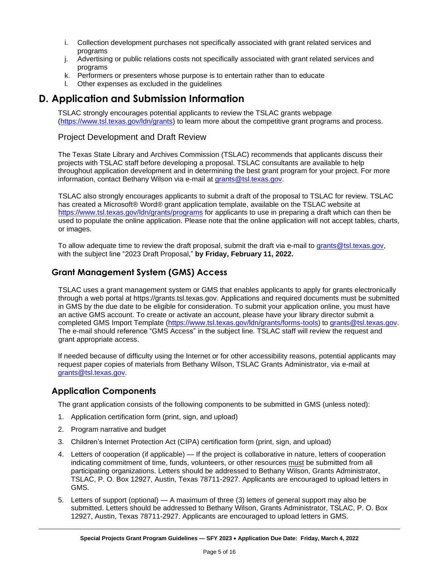- i. Collection development purchases not specifically associated with grant related services and programs
- j. Advertising or public relations costs not specifically associated with grant related services and programs
- k. Performers or presenters whose purpose is to entertain rather than to educate
- l. Other expenses as excluded in the guidelines

# **D. Application and Submission Information**

TSLAC strongly encourages potential applicants to review the TSLAC grants webpage [\(https://www.tsl.texas.gov/ldn/grants\)](https://www.tsl.texas.gov/ldn/grants) to learn more about the competitive grant programs and process.

#### Project Development and Draft Review

The Texas State Library and Archives Commission (TSLAC) recommends that applicants discuss their projects with TSLAC staff before developing a proposal. TSLAC consultants are available to help throughout application development and in determining the best grant program for your project. For more information, contact Bethany Wilson via e-mail at [grants@tsl.texas.gov.](../../emccormick/AppData/Local/Microsoft/Windows/INetCache/Content.Outlook/XWYCDKFF/grants@tsl.texas.gov)

TSLAC also strongly encourages applicants to submit a draft of the proposal to TSLAC for review. TSLAC has created a Microsoft® Word® grant application template, available on the TSLAC website at <https://www.tsl.texas.gov/ldn/grants/programs> for applicants to use in preparing a draft which can then be used to populate the online application. Please note that the online application will not accept tables, charts, or images.

To allow adequate time to review the draft proposal, submit the draft via e-mail to [grants@tsl.texas.gov,](../../emccormick/AppData/Local/Microsoft/Windows/INetCache/Content.Outlook/XWYCDKFF/grants@tsl.texas.gov) with the subject line "2023 Draft Proposal," **by Friday, February 11, 2022.**

#### **Grant Management System (GMS) Access**

TSLAC uses a grant management system or GMS that enables applicants to apply for grants electronically through a web portal at https://grants.tsl.texas.gov. Applications and required documents must be submitted in GMS by the due date to be eligible for consideration. To submit your application online, you must have an active GMS account. To create or activate an account, please have your library director submit a completed GMS Import Template [\(https://www.tsl.texas.gov/ldn/grants/forms-tools\)](https://www.tsl.texas.gov/ldn/grants/forms-tools) to [grants@tsl.texas.gov.](../../emccormick/AppData/Local/Microsoft/Windows/INetCache/Content.Outlook/X485HRKX/grants@tsl.texas.gov) The e-mail should reference "GMS Access" in the subject line. TSLAC staff will review the request and grant appropriate access.

If needed because of difficulty using the Internet or for other accessibility reasons, potential applicants may request paper copies of materials from Bethany Wilson, TSLAC Grants Administrator, via e-mail at [grants@tsl.texas.gov.](../../emccormick/AppData/Local/Microsoft/Windows/INetCache/Content.Outlook/XWYCDKFF/grants@tsl.texas.gov)

#### **Application Components**

The grant application consists of the following components to be submitted in GMS (unless noted):

- 1. Application certification form (print, sign, and upload)
- 2. Program narrative and budget
- 3. Children's Internet Protection Act (CIPA) certification form (print, sign, and upload)
- 4. Letters of cooperation (if applicable) If the project is collaborative in nature, letters of cooperation indicating commitment of time, funds, volunteers, or other resources must be submitted from all participating organizations. Letters should be addressed to Bethany Wilson, Grants Administrator, TSLAC, P. O. Box 12927, Austin, Texas 78711-2927. Applicants are encouraged to upload letters in GMS.
- 5. Letters of support (optional) A maximum of three (3) letters of general support may also be submitted. Letters should be addressed to Bethany Wilson, Grants Administrator, TSLAC, P. O. Box 12927, Austin, Texas 78711-2927. Applicants are encouraged to upload letters in GMS.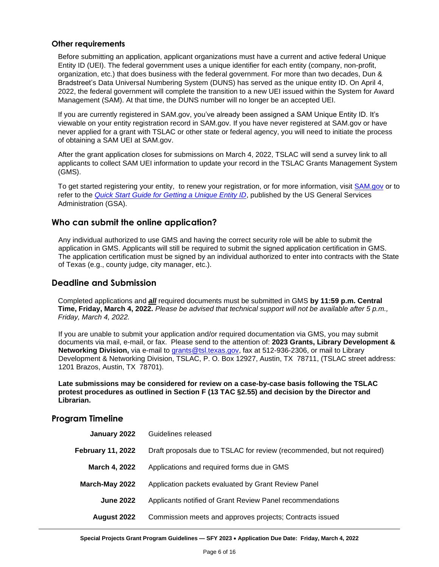#### **Other requirements**

Before submitting an application, applicant organizations must have a current and active federal Unique Entity ID (UEI). The federal government uses a unique identifier for each entity (company, non-profit, organization, etc.) that does business with the federal government. For more than two decades, Dun & Bradstreet's Data Universal Numbering System (DUNS) has served as the unique entity ID. On April 4, 2022, the federal government will complete the transition to a new UEI issued within the System for Award Management (SAM). At that time, the DUNS number will no longer be an accepted UEI.

If you are currently registered in SAM.gov, you've already been assigned a SAM Unique Entity ID. It's viewable on your entity registration record in SAM.gov. If you have never registered at SAM.gov or have never applied for a grant with TSLAC or other state or federal agency, you will need to initiate the process of obtaining a SAM UEI at SAM.gov.

After the grant application closes for submissions on March 4, 2022, TSLAC will send a survey link to all applicants to collect SAM UEI information to update your record in the TSLAC Grants Management System (GMS).

To get started registering your entity, to renew your registration, or for more information, visit [SAM.gov](https://sam.gov/content/home) or to refer to the *[Quick Start Guide for Getting a Unique Entity ID](https://www.msac.org/media/570/download?inline)*, published by the US General Services Administration (GSA).

#### **Who can submit the online application?**

Any individual authorized to use GMS and having the correct security role will be able to submit the application in GMS. Applicants will still be required to submit the signed application certification in GMS. The application certification must be signed by an individual authorized to enter into contracts with the State of Texas (e.g., county judge, city manager, etc.).

#### **Deadline and Submission**

Completed applications and *all* required documents must be submitted in GMS **by 11:59 p.m. Central Time, Friday, March 4, 2022.** *Please be advised that technical support will not be available after 5 p.m., Friday, March 4, 2022.*

If you are unable to submit your application and/or required documentation via GMS, you may submit documents via mail, e-mail, or fax. Please send to the attention of: **2023 Grants, Library Development & Networking Division,** via e-mail to [grants@tsl.texas.gov,](../../emccormick/AppData/Local/Microsoft/Windows/INetCache/Content.Outlook/XWYCDKFF/grants@tsl.texas.gov) fax at 512-936-2306, or mail to Library Development & Networking Division, TSLAC, P. O. Box 12927, Austin, TX 78711, (TSLAC street address: 1201 Brazos, Austin, TX 78701).

**Late submissions may be considered for review on a case-by-case basis following the TSLAC protest procedures as outlined in Section F (13 TAC §2.55) and decision by the Director and Librarian.**

#### **Program Timeline**

| Guidelines released                                                     |
|-------------------------------------------------------------------------|
| Draft proposals due to TSLAC for review (recommended, but not required) |
| Applications and required forms due in GMS                              |
| Application packets evaluated by Grant Review Panel                     |
| Applicants notified of Grant Review Panel recommendations               |
| Commission meets and approves projects; Contracts issued                |
|                                                                         |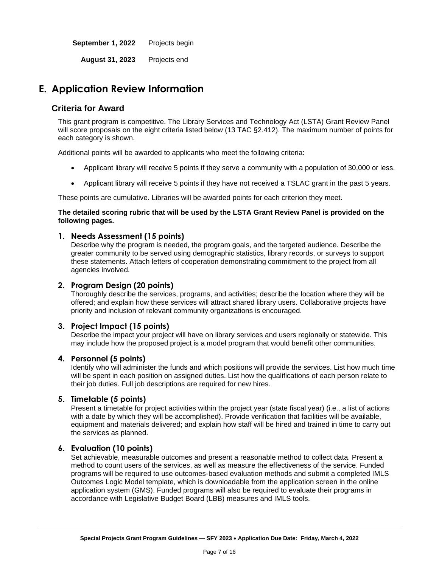**September 1, 2022** Projects begin

**August 31, 2023** Projects end

# <span id="page-6-0"></span>**E. Application Review Information**

#### **Criteria for Award**

This grant program is competitive. The Library Services and Technology Act (LSTA) Grant Review Panel will score proposals on the eight criteria listed below (13 TAC §2.412). The maximum number of points for each category is shown.

Additional points will be awarded to applicants who meet the following criteria:

- Applicant library will receive 5 points if they serve a community with a population of 30,000 or less.
- Applicant library will receive 5 points if they have not received a TSLAC grant in the past 5 years.

These points are cumulative. Libraries will be awarded points for each criterion they meet.

#### **The detailed scoring rubric that will be used by the LSTA Grant Review Panel is provided on the following pages.**

#### **1. Needs Assessment (15 points)**

Describe why the program is needed, the program goals, and the targeted audience. Describe the greater community to be served using demographic statistics, library records, or surveys to support these statements. Attach letters of cooperation demonstrating commitment to the project from all agencies involved.

#### **2. Program Design (20 points)**

Thoroughly describe the services, programs, and activities; describe the location where they will be offered; and explain how these services will attract shared library users. Collaborative projects have priority and inclusion of relevant community organizations is encouraged.

#### **3. Project Impact (15 points)**

Describe the impact your project will have on library services and users regionally or statewide. This may include how the proposed project is a model program that would benefit other communities.

#### **4. Personnel (5 points)**

Identify who will administer the funds and which positions will provide the services. List how much time will be spent in each position on assigned duties. List how the qualifications of each person relate to their job duties. Full job descriptions are required for new hires.

#### **5. Timetable (5 points)**

Present a timetable for project activities within the project year (state fiscal year) (i.e., a list of actions with a date by which they will be accomplished). Provide verification that facilities will be available, equipment and materials delivered; and explain how staff will be hired and trained in time to carry out the services as planned.

#### **6. Evaluation (10 points)**

Set achievable, measurable outcomes and present a reasonable method to collect data. Present a method to count users of the services, as well as measure the effectiveness of the service. Funded programs will be required to use outcomes-based evaluation methods and submit a completed IMLS Outcomes Logic Model template, which is downloadable from the application screen in the online application system (GMS). Funded programs will also be required to evaluate their programs in accordance with Legislative Budget Board (LBB) measures and IMLS tools.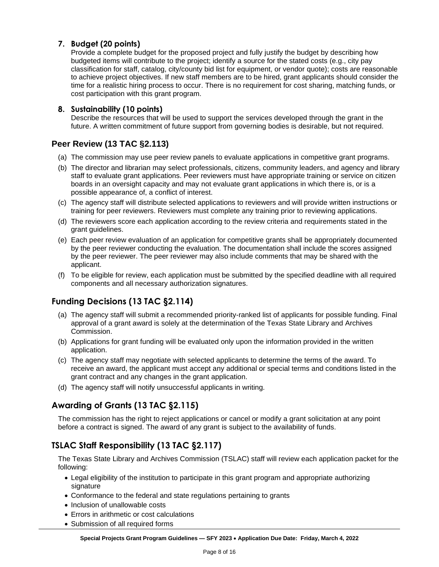#### **7. Budget (20 points)**

Provide a complete budget for the proposed project and fully justify the budget by describing how budgeted items will contribute to the project; identify a source for the stated costs (e.g., city pay classification for staff, catalog, city/county bid list for equipment, or vendor quote); costs are reasonable to achieve project objectives. If new staff members are to be hired, grant applicants should consider the time for a realistic hiring process to occur. There is no requirement for cost sharing, matching funds, or cost participation with this grant program.

#### **8. Sustainability (10 points)**

Describe the resources that will be used to support the services developed through the grant in the future. A written commitment of future support from governing bodies is desirable, but not required.

#### **Peer Review (13 TAC §2.113)**

- (a) The commission may use peer review panels to evaluate applications in competitive grant programs.
- (b) The director and librarian may select professionals, citizens, community leaders, and agency and library staff to evaluate grant applications. Peer reviewers must have appropriate training or service on citizen boards in an oversight capacity and may not evaluate grant applications in which there is, or is a possible appearance of, a conflict of interest.
- (c) The agency staff will distribute selected applications to reviewers and will provide written instructions or training for peer reviewers. Reviewers must complete any training prior to reviewing applications.
- (d) The reviewers score each application according to the review criteria and requirements stated in the grant guidelines.
- (e) Each peer review evaluation of an application for competitive grants shall be appropriately documented by the peer reviewer conducting the evaluation. The documentation shall include the scores assigned by the peer reviewer. The peer reviewer may also include comments that may be shared with the applicant.
- (f) To be eligible for review, each application must be submitted by the specified deadline with all required components and all necessary authorization signatures.

#### **Funding Decisions (13 TAC §2.114)**

- (a) The agency staff will submit a recommended priority-ranked list of applicants for possible funding. Final approval of a grant award is solely at the determination of the Texas State Library and Archives Commission.
- (b) Applications for grant funding will be evaluated only upon the information provided in the written application.
- (c) The agency staff may negotiate with selected applicants to determine the terms of the award. To receive an award, the applicant must accept any additional or special terms and conditions listed in the grant contract and any changes in the grant application.
- (d) The agency staff will notify unsuccessful applicants in writing.

#### **Awarding of Grants (13 TAC §2.115)**

The commission has the right to reject applications or cancel or modify a grant solicitation at any point before a contract is signed. The award of any grant is subject to the availability of funds.

#### **TSLAC Staff Responsibility (13 TAC §2.117)**

The Texas State Library and Archives Commission (TSLAC) staff will review each application packet for the following:

- Legal eligibility of the institution to participate in this grant program and appropriate authorizing signature
- Conformance to the federal and state regulations pertaining to grants
- Inclusion of unallowable costs
- Errors in arithmetic or cost calculations
- Submission of all required forms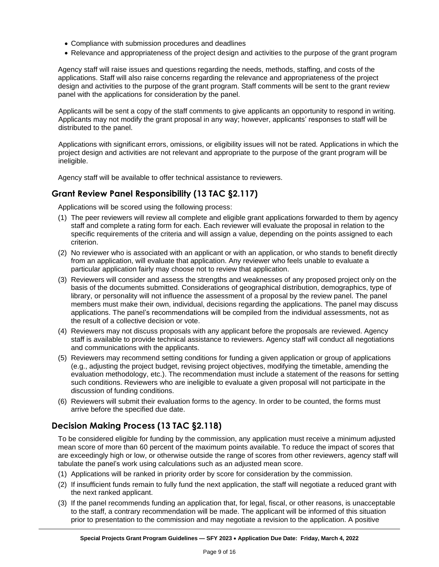- Compliance with submission procedures and deadlines
- Relevance and appropriateness of the project design and activities to the purpose of the grant program

Agency staff will raise issues and questions regarding the needs, methods, staffing, and costs of the applications. Staff will also raise concerns regarding the relevance and appropriateness of the project design and activities to the purpose of the grant program. Staff comments will be sent to the grant review panel with the applications for consideration by the panel.

Applicants will be sent a copy of the staff comments to give applicants an opportunity to respond in writing. Applicants may not modify the grant proposal in any way; however, applicants' responses to staff will be distributed to the panel.

Applications with significant errors, omissions, or eligibility issues will not be rated. Applications in which the project design and activities are not relevant and appropriate to the purpose of the grant program will be ineligible.

Agency staff will be available to offer technical assistance to reviewers.

#### **Grant Review Panel Responsibility (13 TAC §2.117)**

Applications will be scored using the following process:

- (1) The peer reviewers will review all complete and eligible grant applications forwarded to them by agency staff and complete a rating form for each. Each reviewer will evaluate the proposal in relation to the specific requirements of the criteria and will assign a value, depending on the points assigned to each criterion.
- (2) No reviewer who is associated with an applicant or with an application, or who stands to benefit directly from an application, will evaluate that application. Any reviewer who feels unable to evaluate a particular application fairly may choose not to review that application.
- (3) Reviewers will consider and assess the strengths and weaknesses of any proposed project only on the basis of the documents submitted. Considerations of geographical distribution, demographics, type of library, or personality will not influence the assessment of a proposal by the review panel. The panel members must make their own, individual, decisions regarding the applications. The panel may discuss applications. The panel's recommendations will be compiled from the individual assessments, not as the result of a collective decision or vote.
- (4) Reviewers may not discuss proposals with any applicant before the proposals are reviewed. Agency staff is available to provide technical assistance to reviewers. Agency staff will conduct all negotiations and communications with the applicants.
- (5) Reviewers may recommend setting conditions for funding a given application or group of applications (e.g., adjusting the project budget, revising project objectives, modifying the timetable, amending the evaluation methodology, etc.). The recommendation must include a statement of the reasons for setting such conditions. Reviewers who are ineligible to evaluate a given proposal will not participate in the discussion of funding conditions.
- (6) Reviewers will submit their evaluation forms to the agency. In order to be counted, the forms must arrive before the specified due date.

#### **Decision Making Process (13 TAC §2.118)**

To be considered eligible for funding by the commission, any application must receive a minimum adjusted mean score of more than 60 percent of the maximum points available. To reduce the impact of scores that are exceedingly high or low, or otherwise outside the range of scores from other reviewers, agency staff will tabulate the panel's work using calculations such as an adjusted mean score.

- (1) Applications will be ranked in priority order by score for consideration by the commission.
- (2) If insufficient funds remain to fully fund the next application, the staff will negotiate a reduced grant with the next ranked applicant.
- (3) If the panel recommends funding an application that, for legal, fiscal, or other reasons, is unacceptable to the staff, a contrary recommendation will be made. The applicant will be informed of this situation prior to presentation to the commission and may negotiate a revision to the application. A positive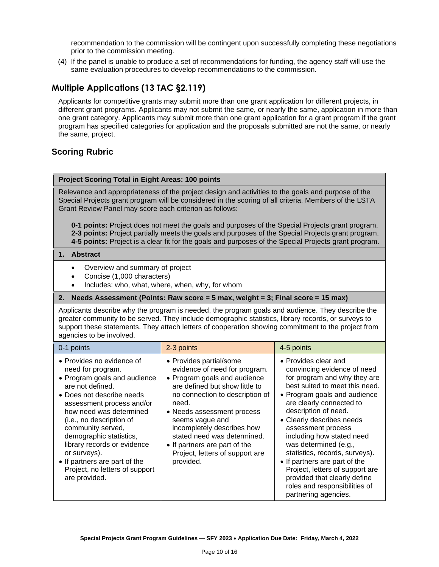recommendation to the commission will be contingent upon successfully completing these negotiations prior to the commission meeting.

(4) If the panel is unable to produce a set of recommendations for funding, the agency staff will use the same evaluation procedures to develop recommendations to the commission.

### **Multiple Applications (13 TAC §2.119)**

Applicants for competitive grants may submit more than one grant application for different projects, in different grant programs. Applicants may not submit the same, or nearly the same, application in more than one grant category. Applicants may submit more than one grant application for a grant program if the grant program has specified categories for application and the proposals submitted are not the same, or nearly the same, project.

#### **Scoring Rubric**

#### **Project Scoring Total in Eight Areas: 100 points**

Relevance and appropriateness of the project design and activities to the goals and purpose of the Special Projects grant program will be considered in the scoring of all criteria. Members of the LSTA Grant Review Panel may score each criterion as follows:

**0-1 points:** Project does not meet the goals and purposes of the Special Projects grant program. **2-3 points:** Project partially meets the goals and purposes of the Special Projects grant program. **4-5 points:** Project is a clear fit for the goals and purposes of the Special Projects grant program.

#### **1. Abstract**

- Overview and summary of project
- Concise (1,000 characters)
- Includes: who, what, where, when, why, for whom

#### **2. Needs Assessment (Points: Raw score = 5 max, weight = 3; Final score = 15 max)**

Applicants describe why the program is needed, the program goals and audience. They describe the greater community to be served. They include demographic statistics, library records, or surveys to support these statements. They attach letters of cooperation showing commitment to the project from agencies to be involved.

| 0-1 points                                                                                                                                                                                                                                                                                                                                                                                             | 2-3 points                                                                                                                                                                                                                                                                                                                                                            | 4-5 points                                                                                                                                                                                                                                                                                                                                                                                                                                                                                                        |
|--------------------------------------------------------------------------------------------------------------------------------------------------------------------------------------------------------------------------------------------------------------------------------------------------------------------------------------------------------------------------------------------------------|-----------------------------------------------------------------------------------------------------------------------------------------------------------------------------------------------------------------------------------------------------------------------------------------------------------------------------------------------------------------------|-------------------------------------------------------------------------------------------------------------------------------------------------------------------------------------------------------------------------------------------------------------------------------------------------------------------------------------------------------------------------------------------------------------------------------------------------------------------------------------------------------------------|
| • Provides no evidence of<br>need for program.<br>• Program goals and audience<br>are not defined.<br>• Does not describe needs<br>assessment process and/or<br>how need was determined<br>(i.e., no description of<br>community served,<br>demographic statistics,<br>library records or evidence<br>or surveys).<br>• If partners are part of the<br>Project, no letters of support<br>are provided. | • Provides partial/some<br>evidence of need for program.<br>• Program goals and audience<br>are defined but show little to<br>no connection to description of<br>need.<br>• Needs assessment process<br>seems vague and<br>incompletely describes how<br>stated need was determined.<br>• If partners are part of the<br>Project, letters of support are<br>provided. | • Provides clear and<br>convincing evidence of need<br>for program and why they are<br>best suited to meet this need.<br>• Program goals and audience<br>are clearly connected to<br>description of need.<br>• Clearly describes needs<br>assessment process<br>including how stated need<br>was determined (e.g.,<br>statistics, records, surveys).<br>• If partners are part of the<br>Project, letters of support are<br>provided that clearly define<br>roles and responsibilities of<br>partnering agencies. |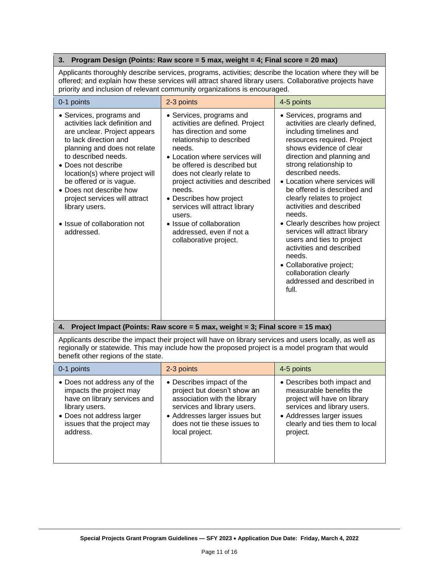#### **3. Program Design (Points: Raw score = 5 max, weight = 4; Final score = 20 max)**

Applicants thoroughly describe services, programs, activities; describe the location where they will be offered; and explain how these services will attract shared library users. Collaborative projects have priority and inclusion of relevant community organizations is encouraged.

| 0-1 points                                                                                                                                                                                                                                                                                                                                                                                 | 2-3 points                                                                                                                                                                                                                                                                                                                                                                                                                        | 4-5 points                                                                                                                                                                                                                                                                                                                                                                                                                                                                                                                                                                                           |
|--------------------------------------------------------------------------------------------------------------------------------------------------------------------------------------------------------------------------------------------------------------------------------------------------------------------------------------------------------------------------------------------|-----------------------------------------------------------------------------------------------------------------------------------------------------------------------------------------------------------------------------------------------------------------------------------------------------------------------------------------------------------------------------------------------------------------------------------|------------------------------------------------------------------------------------------------------------------------------------------------------------------------------------------------------------------------------------------------------------------------------------------------------------------------------------------------------------------------------------------------------------------------------------------------------------------------------------------------------------------------------------------------------------------------------------------------------|
| • Services, programs and<br>activities lack definition and<br>are unclear. Project appears<br>to lack direction and<br>planning and does not relate<br>to described needs.<br>• Does not describe<br>location(s) where project will<br>be offered or is vague.<br>• Does not describe how<br>project services will attract<br>library users.<br>• Issue of collaboration not<br>addressed. | • Services, programs and<br>activities are defined. Project<br>has direction and some<br>relationship to described<br>needs.<br>• Location where services will<br>be offered is described but<br>does not clearly relate to<br>project activities and described<br>needs.<br>• Describes how project<br>services will attract library<br>users.<br>• Issue of collaboration<br>addressed, even if not a<br>collaborative project. | • Services, programs and<br>activities are clearly defined,<br>including timelines and<br>resources required. Project<br>shows evidence of clear<br>direction and planning and<br>strong relationship to<br>described needs.<br>• Location where services will<br>be offered is described and<br>clearly relates to project<br>activities and described<br>needs.<br>• Clearly describes how project<br>services will attract library<br>users and ties to project<br>activities and described<br>needs.<br>• Collaborative project;<br>collaboration clearly<br>addressed and described in<br>full. |
| Project Impact (Points: Raw score = 5 max, weight = 3; Final score = 15 max)<br>4.                                                                                                                                                                                                                                                                                                         |                                                                                                                                                                                                                                                                                                                                                                                                                                   |                                                                                                                                                                                                                                                                                                                                                                                                                                                                                                                                                                                                      |
| Applicants describe the impact their project will have on library services and users locally, as well as<br>regionally or statewide. This may include how the proposed project is a model program that would<br>benefit other regions of the state.                                                                                                                                        |                                                                                                                                                                                                                                                                                                                                                                                                                                   |                                                                                                                                                                                                                                                                                                                                                                                                                                                                                                                                                                                                      |
| 0-1 points                                                                                                                                                                                                                                                                                                                                                                                 | 2-3 points                                                                                                                                                                                                                                                                                                                                                                                                                        | 4-5 points                                                                                                                                                                                                                                                                                                                                                                                                                                                                                                                                                                                           |
| • Does not address any of the                                                                                                                                                                                                                                                                                                                                                              | • Describes impact of the                                                                                                                                                                                                                                                                                                                                                                                                         | • Describes both impact and                                                                                                                                                                                                                                                                                                                                                                                                                                                                                                                                                                          |

| association with the library<br>have on library services and<br>project will have on library<br>services and library users.<br>services and library users.<br>library users.<br>• Does not address larger<br>• Addresses larger issues but<br>• Addresses larger issues<br>clearly and ties them to local<br>does not tie these issues to<br>issues that the project may<br>address.<br>local project.<br>project. |
|--------------------------------------------------------------------------------------------------------------------------------------------------------------------------------------------------------------------------------------------------------------------------------------------------------------------------------------------------------------------------------------------------------------------|
|--------------------------------------------------------------------------------------------------------------------------------------------------------------------------------------------------------------------------------------------------------------------------------------------------------------------------------------------------------------------------------------------------------------------|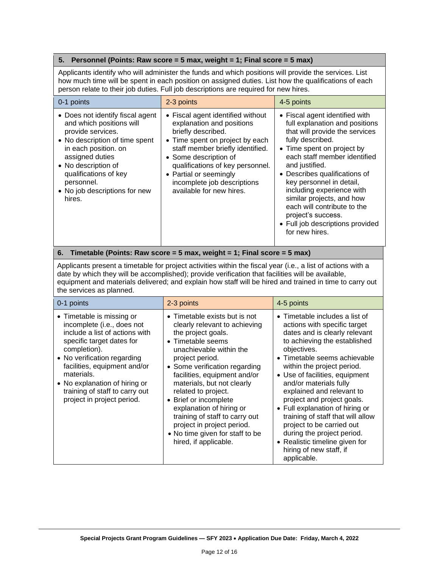#### **5. Personnel (Points: Raw score = 5 max, weight = 1; Final score = 5 max)**

Applicants identify who will administer the funds and which positions will provide the services. List how much time will be spent in each position on assigned duties. List how the qualifications of each person relate to their job duties. Full job descriptions are required for new hires.

| 0-1 points                                                                                                                                                                                                                                                              | 2-3 points                                                                                                                                                                                                                                                                                                    | 4-5 points                                                                                                                                                                                                                                                                                                                                                                                                                               |
|-------------------------------------------------------------------------------------------------------------------------------------------------------------------------------------------------------------------------------------------------------------------------|---------------------------------------------------------------------------------------------------------------------------------------------------------------------------------------------------------------------------------------------------------------------------------------------------------------|------------------------------------------------------------------------------------------------------------------------------------------------------------------------------------------------------------------------------------------------------------------------------------------------------------------------------------------------------------------------------------------------------------------------------------------|
| • Does not identify fiscal agent<br>and which positions will<br>provide services.<br>• No description of time spent<br>in each position. on<br>assigned duties<br>• No description of<br>qualifications of key<br>personnel.<br>• No job descriptions for new<br>hires. | • Fiscal agent identified without<br>explanation and positions<br>briefly described.<br>• Time spent on project by each<br>staff member briefly identified.<br>• Some description of<br>qualifications of key personnel.<br>• Partial or seemingly<br>incomplete job descriptions<br>available for new hires. | • Fiscal agent identified with<br>full explanation and positions<br>that will provide the services<br>fully described.<br>• Time spent on project by<br>each staff member identified<br>and justified.<br>• Describes qualifications of<br>key personnel in detail,<br>including experience with<br>similar projects, and how<br>each will contribute to the<br>project's success.<br>• Full job descriptions provided<br>for new hires. |

#### **6. Timetable (Points: Raw score = 5 max, weight = 1; Final score = 5 max)**

Applicants present a timetable for project activities within the fiscal year (i.e., a list of actions with a date by which they will be accomplished); provide verification that facilities will be available, equipment and materials delivered; and explain how staff will be hired and trained in time to carry out the services as planned.

| 0-1 points                                                                                                                                                                                                                                                                                                           | 2-3 points                                                                                                                                                                                                                                                                                                                                                                                                                                                     | 4-5 points                                                                                                                                                                                                                                                                                                                                                                                                                                                                                                                                                 |
|----------------------------------------------------------------------------------------------------------------------------------------------------------------------------------------------------------------------------------------------------------------------------------------------------------------------|----------------------------------------------------------------------------------------------------------------------------------------------------------------------------------------------------------------------------------------------------------------------------------------------------------------------------------------------------------------------------------------------------------------------------------------------------------------|------------------------------------------------------------------------------------------------------------------------------------------------------------------------------------------------------------------------------------------------------------------------------------------------------------------------------------------------------------------------------------------------------------------------------------------------------------------------------------------------------------------------------------------------------------|
| • Timetable is missing or<br>incomplete (i.e., does not<br>include a list of actions with<br>specific target dates for<br>completion).<br>• No verification regarding<br>facilities, equipment and/or<br>materials.<br>• No explanation of hiring or<br>training of staff to carry out<br>project in project period. | • Timetable exists but is not<br>clearly relevant to achieving<br>the project goals.<br>• Timetable seems<br>unachievable within the<br>project period.<br>• Some verification regarding<br>facilities, equipment and/or<br>materials, but not clearly<br>related to project.<br>• Brief or incomplete<br>explanation of hiring or<br>training of staff to carry out<br>project in project period.<br>• No time given for staff to be<br>hired, if applicable. | $\bullet$ Timetable includes a list of<br>actions with specific target<br>dates and is clearly relevant<br>to achieving the established<br>objectives.<br>• Timetable seems achievable<br>within the project period.<br>• Use of facilities, equipment<br>and/or materials fully<br>explained and relevant to<br>project and project goals.<br>• Full explanation of hiring or<br>training of staff that will allow<br>project to be carried out<br>during the project period.<br>• Realistic timeline given for<br>hiring of new staff, if<br>applicable. |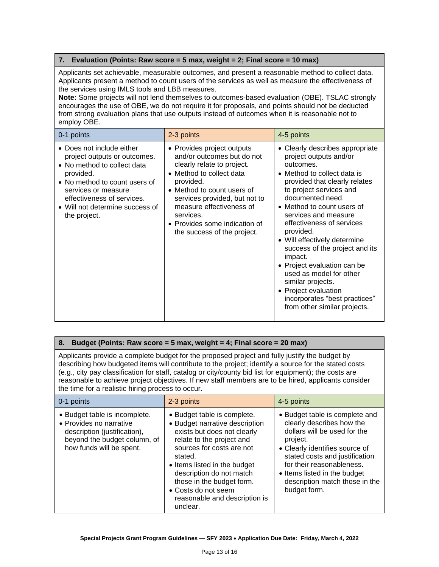#### **7. Evaluation (Points: Raw score = 5 max, weight = 2; Final score = 10 max)**

Applicants set achievable, measurable outcomes, and present a reasonable method to collect data. Applicants present a method to count users of the services as well as measure the effectiveness of the services using IMLS tools and LBB measures.

**Note:** Some projects will not lend themselves to outcomes-based evaluation (OBE). TSLAC strongly encourages the use of OBE, we do not require it for proposals, and points should not be deducted from strong evaluation plans that use outputs instead of outcomes when it is reasonable not to employ OBE.

| 0-1 points                                                                                                                                                                                                                                     | 2-3 points                                                                                                                                                                                                                                                                                              | 4-5 points                                                                                                                                                                                                                                                                                                                                                                                                                                                                                                                                 |
|------------------------------------------------------------------------------------------------------------------------------------------------------------------------------------------------------------------------------------------------|---------------------------------------------------------------------------------------------------------------------------------------------------------------------------------------------------------------------------------------------------------------------------------------------------------|--------------------------------------------------------------------------------------------------------------------------------------------------------------------------------------------------------------------------------------------------------------------------------------------------------------------------------------------------------------------------------------------------------------------------------------------------------------------------------------------------------------------------------------------|
| • Does not include either<br>project outputs or outcomes.<br>• No method to collect data<br>provided.<br>• No method to count users of<br>services or measure<br>effectiveness of services.<br>• Will not determine success of<br>the project. | • Provides project outputs<br>and/or outcomes but do not<br>clearly relate to project.<br>• Method to collect data<br>provided.<br>• Method to count users of<br>services provided, but not to<br>measure effectiveness of<br>services.<br>• Provides some indication of<br>the success of the project. | • Clearly describes appropriate<br>project outputs and/or<br>outcomes.<br>• Method to collect data is<br>provided that clearly relates<br>to project services and<br>documented need.<br>• Method to count users of<br>services and measure<br>effectiveness of services<br>provided.<br>• Will effectively determine<br>success of the project and its<br>impact.<br>• Project evaluation can be<br>used as model for other<br>similar projects.<br>• Project evaluation<br>incorporates "best practices"<br>from other similar projects. |

#### **8. Budget (Points: Raw score = 5 max, weight = 4; Final score = 20 max)**

Applicants provide a complete budget for the proposed project and fully justify the budget by describing how budgeted items will contribute to the project; identify a source for the stated costs (e.g., city pay classification for staff, catalog or city/county bid list for equipment); the costs are reasonable to achieve project objectives. If new staff members are to be hired, applicants consider the time for a realistic hiring process to occur.

| 0-1 points                                                                                                                                           | 2-3 points                                                                                                                                                                                                                                                                                                                     | 4-5 points                                                                                                                                                                                                                                                                                 |
|------------------------------------------------------------------------------------------------------------------------------------------------------|--------------------------------------------------------------------------------------------------------------------------------------------------------------------------------------------------------------------------------------------------------------------------------------------------------------------------------|--------------------------------------------------------------------------------------------------------------------------------------------------------------------------------------------------------------------------------------------------------------------------------------------|
| • Budget table is incomplete.<br>• Provides no narrative<br>description (justification),<br>beyond the budget column, of<br>how funds will be spent. | • Budget table is complete.<br>• Budget narrative description<br>exists but does not clearly<br>relate to the project and<br>sources for costs are not<br>stated.<br>• Items listed in the budget<br>description do not match<br>those in the budget form.<br>• Costs do not seem<br>reasonable and description is<br>unclear. | • Budget table is complete and<br>clearly describes how the<br>dollars will be used for the<br>project.<br>• Clearly identifies source of<br>stated costs and justification<br>for their reasonableness.<br>• Items listed in the budget<br>description match those in the<br>budget form. |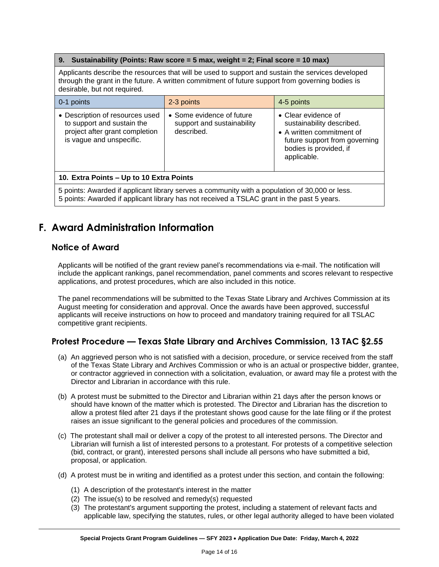#### **9. Sustainability (Points: Raw score = 5 max, weight = 2; Final score = 10 max)**

Applicants describe the resources that will be used to support and sustain the services developed through the grant in the future. A written commitment of future support from governing bodies is desirable, but not required.

| $\vert$ 0-1 points                                                                                                          | 2-3 points                                                            | 4-5 points                                                                                                                                              |  |
|-----------------------------------------------------------------------------------------------------------------------------|-----------------------------------------------------------------------|---------------------------------------------------------------------------------------------------------------------------------------------------------|--|
| • Description of resources used<br>to support and sustain the<br>project after grant completion<br>is vague and unspecific. | • Some evidence of future<br>support and sustainability<br>described. | • Clear evidence of<br>sustainability described.<br>• A written commitment of<br>future support from governing<br>bodies is provided, if<br>applicable. |  |
| 10. Extra Points - Up to 10 Extra Points                                                                                    |                                                                       |                                                                                                                                                         |  |
| 5 pointe: Awarded if applicant library convector community with a population of 20,000 or local                             |                                                                       |                                                                                                                                                         |  |

5 points: Awarded if applicant library serves a community with a population of 30,000 or less. 5 points: Awarded if applicant library has not received a TSLAC grant in the past 5 years.

# <span id="page-13-0"></span>**F. Award Administration Information**

#### **Notice of Award**

Applicants will be notified of the grant review panel's recommendations via e-mail. The notification will include the applicant rankings, panel recommendation, panel comments and scores relevant to respective applications, and protest procedures, which are also included in this notice.

The panel recommendations will be submitted to the Texas State Library and Archives Commission at its August meeting for consideration and approval. Once the awards have been approved, successful applicants will receive instructions on how to proceed and mandatory training required for all TSLAC competitive grant recipients.

#### **Protest Procedure — Texas State Library and Archives Commission, 13 TAC §2.55**

- (a) An aggrieved person who is not satisfied with a decision, procedure, or service received from the staff of the Texas State Library and Archives Commission or who is an actual or prospective bidder, grantee, or contractor aggrieved in connection with a solicitation, evaluation, or award may file a protest with the Director and Librarian in accordance with this rule.
- (b) A protest must be submitted to the Director and Librarian within 21 days after the person knows or should have known of the matter which is protested. The Director and Librarian has the discretion to allow a protest filed after 21 days if the protestant shows good cause for the late filing or if the protest raises an issue significant to the general policies and procedures of the commission.
- (c) The protestant shall mail or deliver a copy of the protest to all interested persons. The Director and Librarian will furnish a list of interested persons to a protestant. For protests of a competitive selection (bid, contract, or grant), interested persons shall include all persons who have submitted a bid, proposal, or application.
- (d) A protest must be in writing and identified as a protest under this section, and contain the following:
	- (1) A description of the protestant's interest in the matter
	- (2) The issue(s) to be resolved and remedy(s) requested
	- (3) The protestant's argument supporting the protest, including a statement of relevant facts and applicable law, specifying the statutes, rules, or other legal authority alleged to have been violated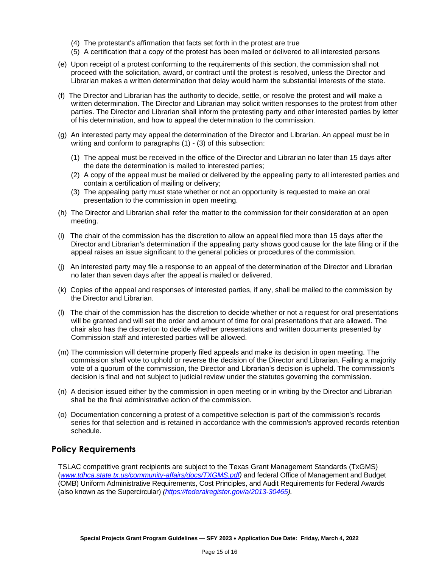- (4) The protestant's affirmation that facts set forth in the protest are true
- (5) A certification that a copy of the protest has been mailed or delivered to all interested persons
- (e) Upon receipt of a protest conforming to the requirements of this section, the commission shall not proceed with the solicitation, award, or contract until the protest is resolved, unless the Director and Librarian makes a written determination that delay would harm the substantial interests of the state.
- (f) The Director and Librarian has the authority to decide, settle, or resolve the protest and will make a written determination. The Director and Librarian may solicit written responses to the protest from other parties. The Director and Librarian shall inform the protesting party and other interested parties by letter of his determination, and how to appeal the determination to the commission.
- (g) An interested party may appeal the determination of the Director and Librarian. An appeal must be in writing and conform to paragraphs (1) - (3) of this subsection:
	- (1) The appeal must be received in the office of the Director and Librarian no later than 15 days after the date the determination is mailed to interested parties;
	- (2) A copy of the appeal must be mailed or delivered by the appealing party to all interested parties and contain a certification of mailing or delivery;
	- (3) The appealing party must state whether or not an opportunity is requested to make an oral presentation to the commission in open meeting.
- (h) The Director and Librarian shall refer the matter to the commission for their consideration at an open meeting.
- (i) The chair of the commission has the discretion to allow an appeal filed more than 15 days after the Director and Librarian's determination if the appealing party shows good cause for the late filing or if the appeal raises an issue significant to the general policies or procedures of the commission.
- (j) An interested party may file a response to an appeal of the determination of the Director and Librarian no later than seven days after the appeal is mailed or delivered.
- (k) Copies of the appeal and responses of interested parties, if any, shall be mailed to the commission by the Director and Librarian.
- (l) The chair of the commission has the discretion to decide whether or not a request for oral presentations will be granted and will set the order and amount of time for oral presentations that are allowed. The chair also has the discretion to decide whether presentations and written documents presented by Commission staff and interested parties will be allowed.
- (m) The commission will determine properly filed appeals and make its decision in open meeting. The commission shall vote to uphold or reverse the decision of the Director and Librarian. Failing a majority vote of a quorum of the commission, the Director and Librarian's decision is upheld. The commission's decision is final and not subject to judicial review under the statutes governing the commission.
- (n) A decision issued either by the commission in open meeting or in writing by the Director and Librarian shall be the final administrative action of the commission.
- (o) Documentation concerning a protest of a competitive selection is part of the commission's records series for that selection and is retained in accordance with the commission's approved records retention schedule.

#### **Policy Requirements**

TSLAC competitive grant recipients are subject to the Texas Grant Management Standards (TxGMS) (*[www.tdhca.state.tx.us/community-affairs/docs/TXGMS.pdf\)](../../../Emergency%20Grants/TSLAC%20ARPA/NOFO/www.tdhca.state.tx.us/community-affairs/docs/TXGMS.pdf)* and federal Office of Management and Budget (OMB) Uniform Administrative Requirements, Cost Principles, and Audit Requirements for Federal Awards (also known as the Supercircular) *[\(https://federalregister.gov/a/2013-30465\)](https://federalregister.gov/a/2013-30465).*